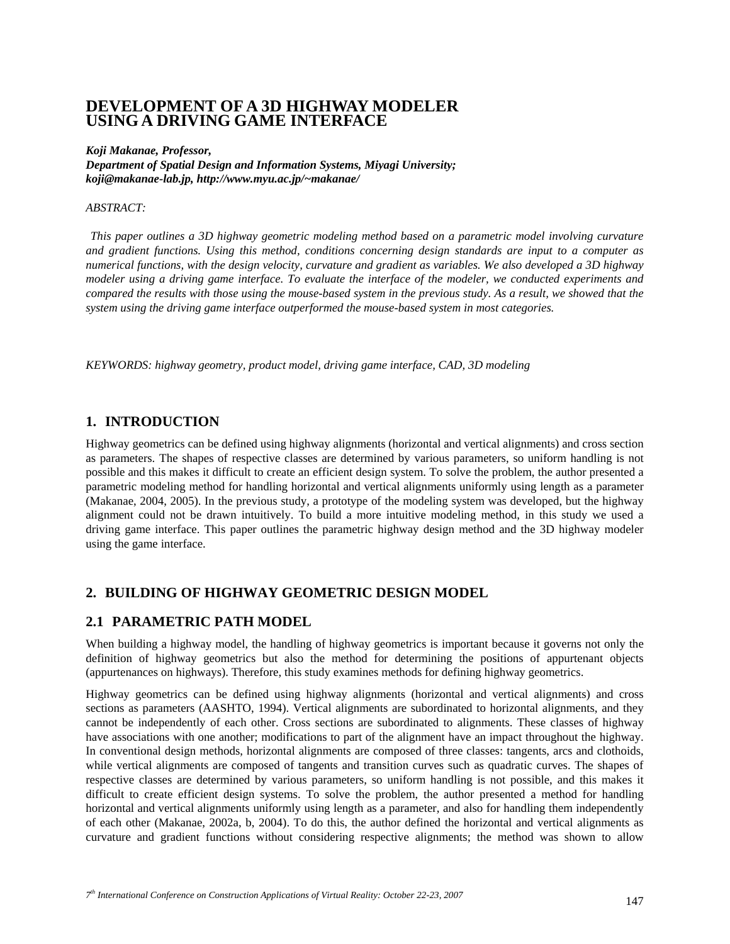# **DEVELOPMENT OF A 3D HIGHWAY MODELER USING A DRIVING GAME INTERFACE**

#### *Koji Makanae, Professor,*

*Department of Spatial Design and Information Systems, Miyagi University; koji@makanae-lab.jp, http://www.myu.ac.jp/~makanae/* 

#### *ABSTRACT:*

 *This paper outlines a 3D highway geometric modeling method based on a parametric model involving curvature and gradient functions. Using this method, conditions concerning design standards are input to a computer as numerical functions, with the design velocity, curvature and gradient as variables. We also developed a 3D highway modeler using a driving game interface. To evaluate the interface of the modeler, we conducted experiments and compared the results with those using the mouse-based system in the previous study. As a result, we showed that the system using the driving game interface outperformed the mouse-based system in most categories.* 

*KEYWORDS: highway geometry, product model, driving game interface, CAD, 3D modeling* 

# **1. INTRODUCTION**

Highway geometrics can be defined using highway alignments (horizontal and vertical alignments) and cross section as parameters. The shapes of respective classes are determined by various parameters, so uniform handling is not possible and this makes it difficult to create an efficient design system. To solve the problem, the author presented a parametric modeling method for handling horizontal and vertical alignments uniformly using length as a parameter (Makanae, 2004, 2005). In the previous study, a prototype of the modeling system was developed, but the highway alignment could not be drawn intuitively. To build a more intuitive modeling method, in this study we used a driving game interface. This paper outlines the parametric highway design method and the 3D highway modeler using the game interface.

# **2. BUILDING OF HIGHWAY GEOMETRIC DESIGN MODEL**

# **2.1 PARAMETRIC PATH MODEL**

When building a highway model, the handling of highway geometrics is important because it governs not only the definition of highway geometrics but also the method for determining the positions of appurtenant objects (appurtenances on highways). Therefore, this study examines methods for defining highway geometrics.

Highway geometrics can be defined using highway alignments (horizontal and vertical alignments) and cross sections as parameters (AASHTO, 1994). Vertical alignments are subordinated to horizontal alignments, and they cannot be independently of each other. Cross sections are subordinated to alignments. These classes of highway have associations with one another; modifications to part of the alignment have an impact throughout the highway. In conventional design methods, horizontal alignments are composed of three classes: tangents, arcs and clothoids, while vertical alignments are composed of tangents and transition curves such as quadratic curves. The shapes of respective classes are determined by various parameters, so uniform handling is not possible, and this makes it difficult to create efficient design systems. To solve the problem, the author presented a method for handling horizontal and vertical alignments uniformly using length as a parameter, and also for handling them independently of each other (Makanae, 2002a, b, 2004). To do this, the author defined the horizontal and vertical alignments as curvature and gradient functions without considering respective alignments; the method was shown to allow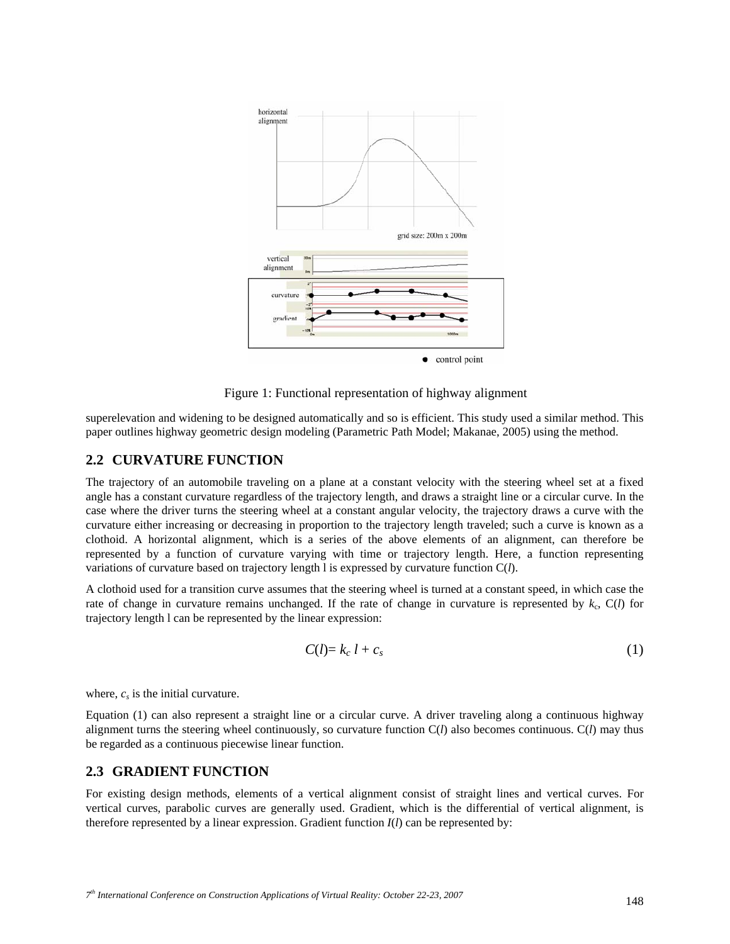

Figure 1: Functional representation of highway alignment

superelevation and widening to be designed automatically and so is efficient. This study used a similar method. This paper outlines highway geometric design modeling (Parametric Path Model; Makanae, 2005) using the method.

# **2.2 CURVATURE FUNCTION**

The trajectory of an automobile traveling on a plane at a constant velocity with the steering wheel set at a fixed angle has a constant curvature regardless of the trajectory length, and draws a straight line or a circular curve. In the case where the driver turns the steering wheel at a constant angular velocity, the trajectory draws a curve with the curvature either increasing or decreasing in proportion to the trajectory length traveled; such a curve is known as a clothoid. A horizontal alignment, which is a series of the above elements of an alignment, can therefore be represented by a function of curvature varying with time or trajectory length. Here, a function representing variations of curvature based on trajectory length l is expressed by curvature function C(*l*).

A clothoid used for a transition curve assumes that the steering wheel is turned at a constant speed, in which case the rate of change in curvature remains unchanged. If the rate of change in curvature is represented by  $k_c$ ,  $C(l)$  for trajectory length l can be represented by the linear expression:

$$
C(l) = k_c l + c_s \tag{1}
$$

where,  $c_s$  is the initial curvature.

Equation (1) can also represent a straight line or a circular curve. A driver traveling along a continuous highway alignment turns the steering wheel continuously, so curvature function C(*l*) also becomes continuous. C(*l*) may thus be regarded as a continuous piecewise linear function.

#### **2.3 GRADIENT FUNCTION**

For existing design methods, elements of a vertical alignment consist of straight lines and vertical curves. For vertical curves, parabolic curves are generally used. Gradient, which is the differential of vertical alignment, is therefore represented by a linear expression. Gradient function  $I(l)$  can be represented by: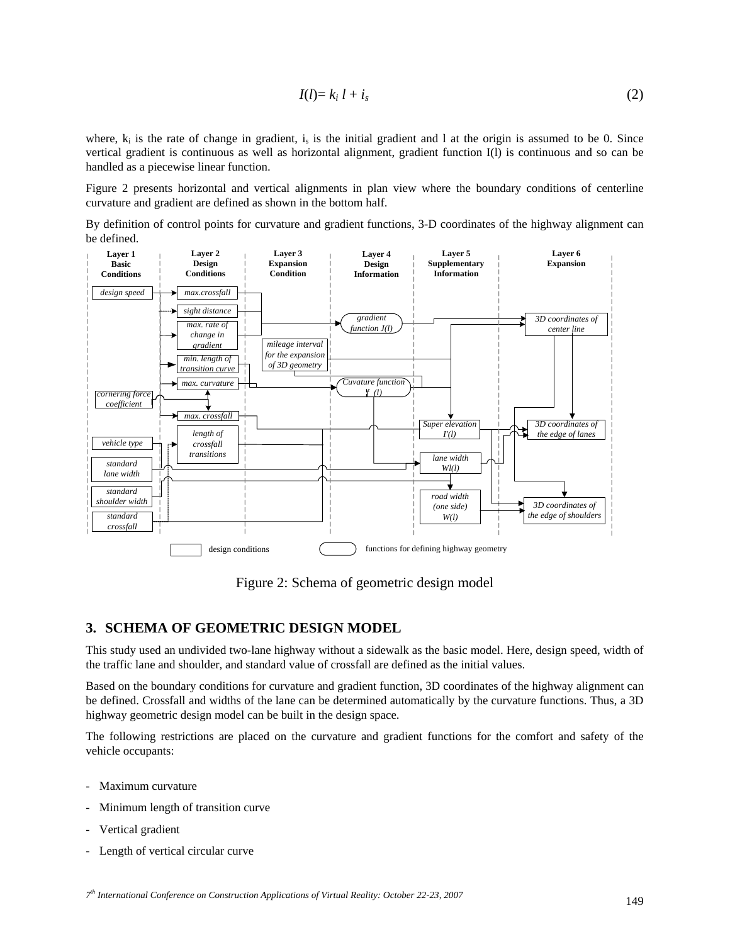$$
I(l)=k_i l+i_s \tag{2}
$$

where,  $k_i$  is the rate of change in gradient,  $i_s$  is the initial gradient and 1 at the origin is assumed to be 0. Since vertical gradient is continuous as well as horizontal alignment, gradient function I(l) is continuous and so can be handled as a piecewise linear function.

Figure 2 presents horizontal and vertical alignments in plan view where the boundary conditions of centerline curvature and gradient are defined as shown in the bottom half.

By definition of control points for curvature and gradient functions, 3-D coordinates of the highway alignment can be defined.



Figure 2: Schema of geometric design model

### **3. SCHEMA OF GEOMETRIC DESIGN MODEL**

This study used an undivided two-lane highway without a sidewalk as the basic model. Here, design speed, width of the traffic lane and shoulder, and standard value of crossfall are defined as the initial values.

Based on the boundary conditions for curvature and gradient function, 3D coordinates of the highway alignment can be defined. Crossfall and widths of the lane can be determined automatically by the curvature functions. Thus, a 3D highway geometric design model can be built in the design space.

The following restrictions are placed on the curvature and gradient functions for the comfort and safety of the vehicle occupants:

- Maximum curvature
- Minimum length of transition curve.
- Vertical gradient
- Length of vertical circular curve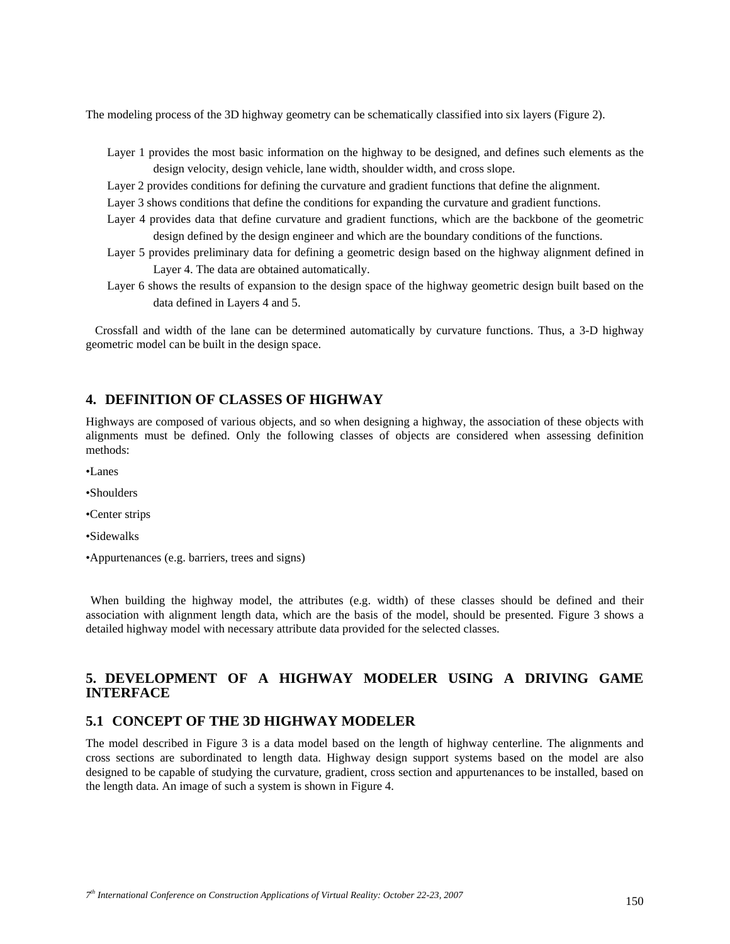The modeling process of the 3D highway geometry can be schematically classified into six layers (Figure 2).

- Layer 1 provides the most basic information on the highway to be designed, and defines such elements as the design velocity, design vehicle, lane width, shoulder width, and cross slope.
- Layer 2 provides conditions for defining the curvature and gradient functions that define the alignment.
- Layer 3 shows conditions that define the conditions for expanding the curvature and gradient functions.
- Layer 4 provides data that define curvature and gradient functions, which are the backbone of the geometric design defined by the design engineer and which are the boundary conditions of the functions.
- Layer 5 provides preliminary data for defining a geometric design based on the highway alignment defined in Layer 4. The data are obtained automatically.
- Layer 6 shows the results of expansion to the design space of the highway geometric design built based on the data defined in Layers 4 and 5.

Crossfall and width of the lane can be determined automatically by curvature functions. Thus, a 3-D highway geometric model can be built in the design space.

# **4. DEFINITION OF CLASSES OF HIGHWAY**

Highways are composed of various objects, and so when designing a highway, the association of these objects with alignments must be defined. Only the following classes of objects are considered when assessing definition methods:

- •Lanes
- •Shoulders
- •Center strips
- •Sidewalks
- •Appurtenances (e.g. barriers, trees and signs)

When building the highway model, the attributes (e.g. width) of these classes should be defined and their association with alignment length data, which are the basis of the model, should be presented. Figure 3 shows a detailed highway model with necessary attribute data provided for the selected classes.

# **5. DEVELOPMENT OF A HIGHWAY MODELER USING A DRIVING GAME INTERFACE**

### **5.1 CONCEPT OF THE 3D HIGHWAY MODELER**

The model described in Figure 3 is a data model based on the length of highway centerline. The alignments and cross sections are subordinated to length data. Highway design support systems based on the model are also designed to be capable of studying the curvature, gradient, cross section and appurtenances to be installed, based on the length data. An image of such a system is shown in Figure 4.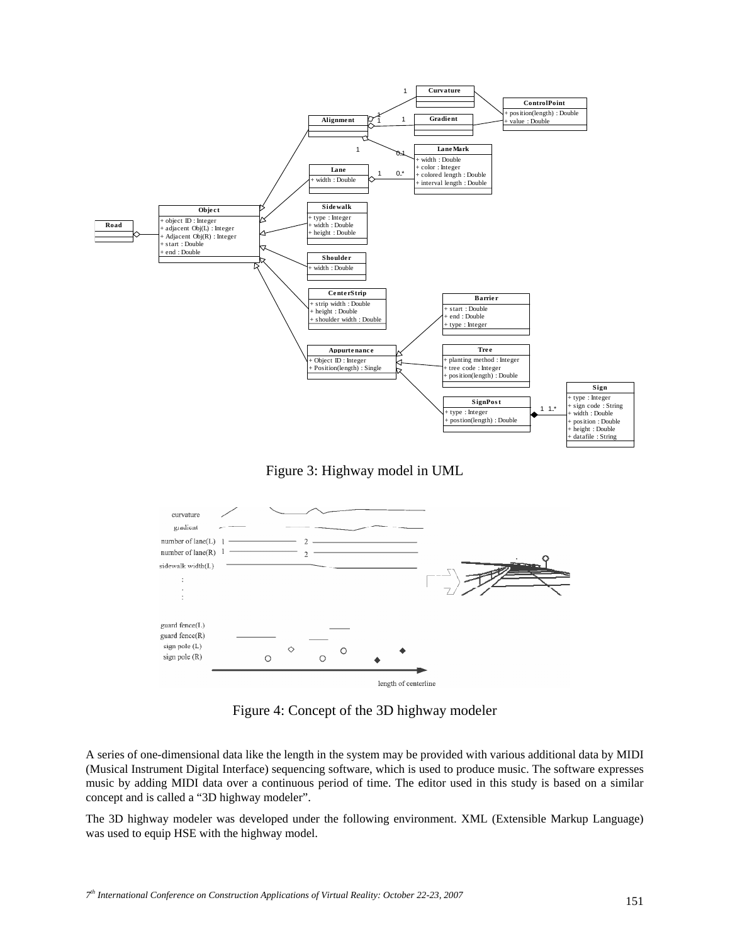

Figure 3: Highway model in UML



Figure 4: Concept of the 3D highway modeler

A series of one-dimensional data like the length in the system may be provided with various additional data by MIDI (Musical Instrument Digital Interface) sequencing software, which is used to produce music. The software expresses music by adding MIDI data over a continuous period of time. The editor used in this study is based on a similar concept and is called a "3D highway modeler".

The 3D highway modeler was developed under the following environment. XML (Extensible Markup Language) was used to equip HSE with the highway model.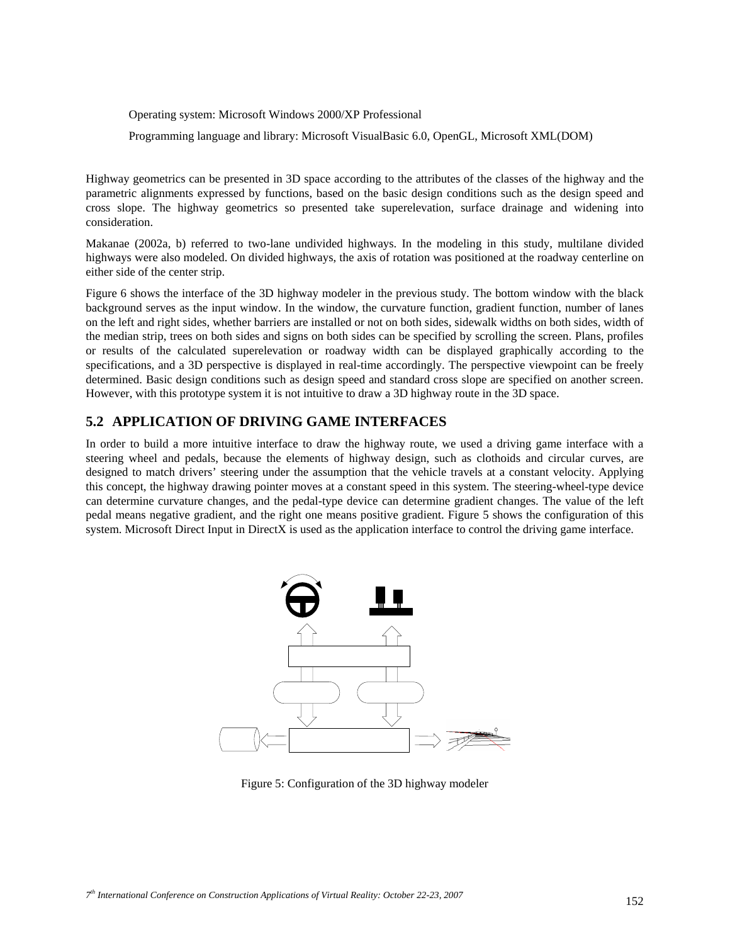Operating system: Microsoft Windows 2000/XP Professional

Programming language and library: Microsoft VisualBasic 6.0, OpenGL, Microsoft XML(DOM)

Highway geometrics can be presented in 3D space according to the attributes of the classes of the highway and the parametric alignments expressed by functions, based on the basic design conditions such as the design speed and cross slope. The highway geometrics so presented take superelevation, surface drainage and widening into consideration.

Makanae (2002a, b) referred to two-lane undivided highways. In the modeling in this study, multilane divided highways were also modeled. On divided highways, the axis of rotation was positioned at the roadway centerline on either side of the center strip.

Figure 6 shows the interface of the 3D highway modeler in the previous study. The bottom window with the black background serves as the input window. In the window, the curvature function, gradient function, number of lanes on the left and right sides, whether barriers are installed or not on both sides, sidewalk widths on both sides, width of the median strip, trees on both sides and signs on both sides can be specified by scrolling the screen. Plans, profiles or results of the calculated superelevation or roadway width can be displayed graphically according to the specifications, and a 3D perspective is displayed in real-time accordingly. The perspective viewpoint can be freely determined. Basic design conditions such as design speed and standard cross slope are specified on another screen. However, with this prototype system it is not intuitive to draw a 3D highway route in the 3D space.

# **5.2 APPLICATION OF DRIVING GAME INTERFACES**

In order to build a more intuitive interface to draw the highway route, we used a driving game interface with a steering wheel and pedals, because the elements of highway design, such as clothoids and circular curves, are designed to match drivers' steering under the assumption that the vehicle travels at a constant velocity. Applying this concept, the highway drawing pointer moves at a constant speed in this system. The steering-wheel-type device can determine curvature changes, and the pedal-type device can determine gradient changes. The value of the left pedal means negative gradient, and the right one means positive gradient. Figure 5 shows the configuration of this system. Microsoft Direct Input in DirectX is used as the application interface to control the driving game interface.



Figure 5: Configuration of the 3D highway modeler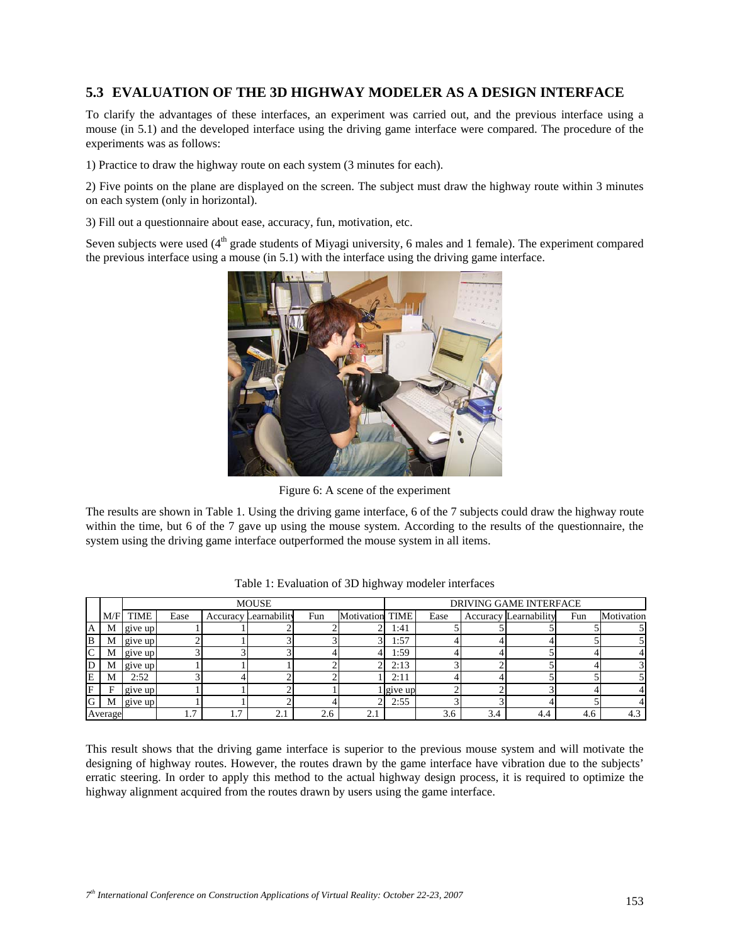# **5.3 EVALUATION OF THE 3D HIGHWAY MODELER AS A DESIGN INTERFACE**

To clarify the advantages of these interfaces, an experiment was carried out, and the previous interface using a mouse (in 5.1) and the developed interface using the driving game interface were compared. The procedure of the experiments was as follows:

1) Practice to draw the highway route on each system (3 minutes for each).

2) Five points on the plane are displayed on the screen. The subject must draw the highway route within 3 minutes on each system (only in horizontal).

3) Fill out a questionnaire about ease, accuracy, fun, motivation, etc.

Seven subjects were used (4<sup>th</sup> grade students of Miyagi university, 6 males and 1 female). The experiment compared the previous interface using a mouse (in 5.1) with the interface using the driving game interface.



Figure 6: A scene of the experiment

The results are shown in Table 1. Using the driving game interface, 6 of the 7 subjects could draw the highway route within the time, but 6 of the 7 gave up using the mouse system. According to the results of the questionnaire, the system using the driving game interface outperformed the mouse system in all items.

|         | <b>MOUSE</b> |         |      |     |                              |     |                 | <b>DRIVING GAME INTERFACE</b> |      |     |                       |     |            |
|---------|--------------|---------|------|-----|------------------------------|-----|-----------------|-------------------------------|------|-----|-----------------------|-----|------------|
|         | M/F          | TIME    | Ease |     | <b>Accuracy Learnability</b> | Fun | Motivation TIME |                               | Ease |     | Accuracy Learnability | Fun | Motivation |
| IA '    | M            | give up |      |     |                              |     |                 | 1:41                          |      |     |                       |     |            |
| lВ      | М            | give up |      |     |                              |     |                 | l:57                          |      |     |                       |     |            |
| lC.     | М            | give up |      |     |                              |     |                 | 1:59                          |      |     |                       |     |            |
| ID      | М            | give up |      |     |                              |     |                 | 2:13                          |      |     |                       |     |            |
| E       | М            | 2:52    |      |     |                              |     |                 | 2:11                          |      |     |                       |     |            |
| F       | E            | give up |      |     |                              |     |                 | l give up                     |      |     |                       |     |            |
| lG      | M            | give up |      |     |                              |     |                 | 2:55                          |      |     |                       |     |            |
| Average |              |         | 1.7  | 1.7 | 2.1                          | 2.6 | 2.1             |                               | 3.6  | 3.4 | 4.4                   | 4.6 | 4.3        |

Table 1: Evaluation of 3D highway modeler interfaces

This result shows that the driving game interface is superior to the previous mouse system and will motivate the designing of highway routes. However, the routes drawn by the game interface have vibration due to the subjects' erratic steering. In order to apply this method to the actual highway design process, it is required to optimize the highway alignment acquired from the routes drawn by users using the game interface.